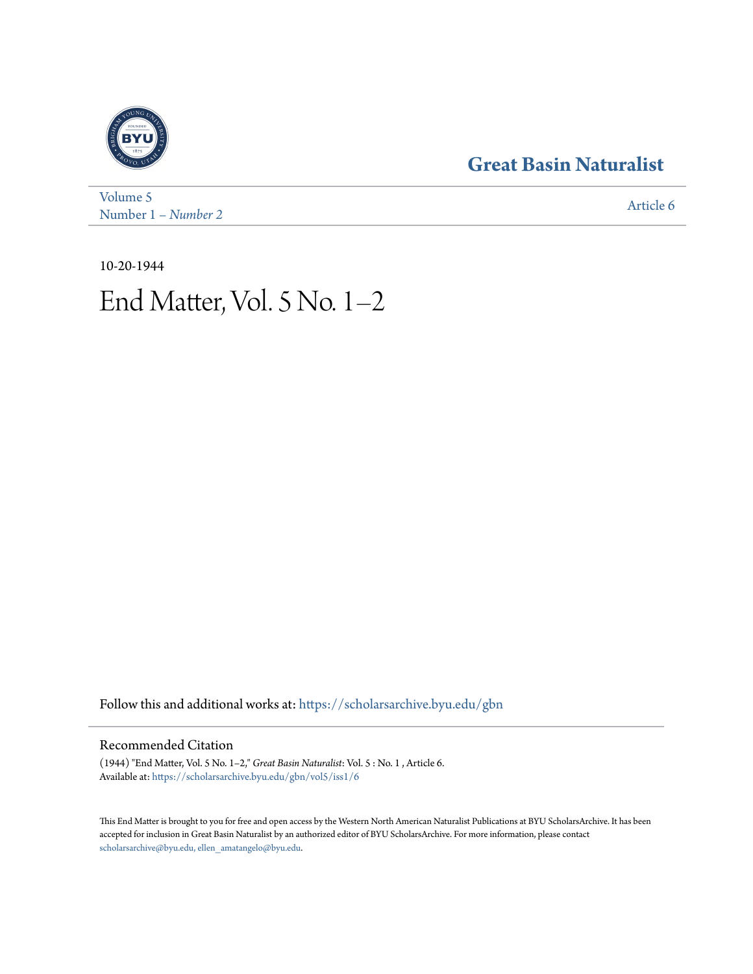### **[Great Basin Naturalist](https://scholarsarchive.byu.edu/gbn?utm_source=scholarsarchive.byu.edu%2Fgbn%2Fvol5%2Fiss1%2F6&utm_medium=PDF&utm_campaign=PDFCoverPages)**



[Volume 5](https://scholarsarchive.byu.edu/gbn/vol5?utm_source=scholarsarchive.byu.edu%2Fgbn%2Fvol5%2Fiss1%2F6&utm_medium=PDF&utm_campaign=PDFCoverPages) Number 1 *[– Number 2](https://scholarsarchive.byu.edu/gbn/vol5/iss1?utm_source=scholarsarchive.byu.edu%2Fgbn%2Fvol5%2Fiss1%2F6&utm_medium=PDF&utm_campaign=PDFCoverPages)* [Article 6](https://scholarsarchive.byu.edu/gbn/vol5/iss1/6?utm_source=scholarsarchive.byu.edu%2Fgbn%2Fvol5%2Fiss1%2F6&utm_medium=PDF&utm_campaign=PDFCoverPages)

10-20-1944

# End Matter, Vol. 5 No. 1–2

Follow this and additional works at: [https://scholarsarchive.byu.edu/gbn](https://scholarsarchive.byu.edu/gbn?utm_source=scholarsarchive.byu.edu%2Fgbn%2Fvol5%2Fiss1%2F6&utm_medium=PDF&utm_campaign=PDFCoverPages)

### Recommended Citation

(1944) "End Matter, Vol. 5 No. 1–2," *Great Basin Naturalist*: Vol. 5 : No. 1 , Article 6. Available at: [https://scholarsarchive.byu.edu/gbn/vol5/iss1/6](https://scholarsarchive.byu.edu/gbn/vol5/iss1/6?utm_source=scholarsarchive.byu.edu%2Fgbn%2Fvol5%2Fiss1%2F6&utm_medium=PDF&utm_campaign=PDFCoverPages)

This End Matter is brought to you for free and open access by the Western North American Naturalist Publications at BYU ScholarsArchive. It has been accepted for inclusion in Great Basin Naturalist by an authorized editor of BYU ScholarsArchive. For more information, please contact [scholarsarchive@byu.edu, ellen\\_amatangelo@byu.edu.](mailto:scholarsarchive@byu.edu,%20ellen_amatangelo@byu.edu)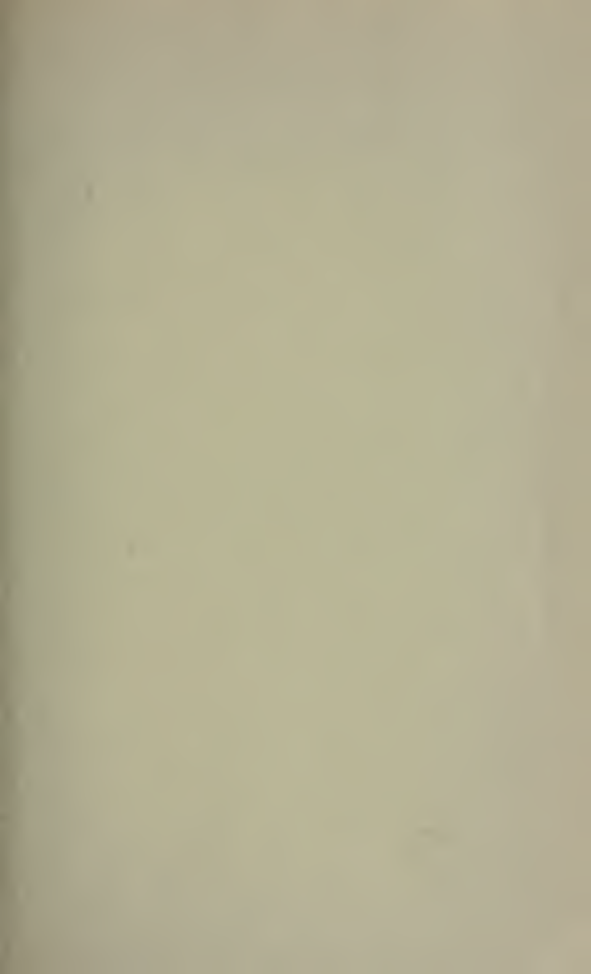